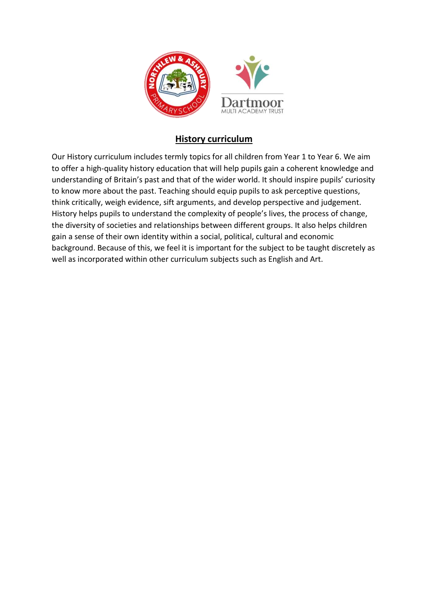

## **History curriculum**

Our History curriculum includes termly topics for all children from Year 1 to Year 6. We aim to offer a high-quality history education that will help pupils gain a coherent knowledge and understanding of Britain's past and that of the wider world. It should inspire pupils' curiosity to know more about the past. Teaching should equip pupils to ask perceptive questions, think critically, weigh evidence, sift arguments, and develop perspective and judgement. History helps pupils to understand the complexity of people's lives, the process of change, the diversity of societies and relationships between different groups. It also helps children gain a sense of their own identity within a social, political, cultural and economic background. Because of this, we feel it is important for the subject to be taught discretely as well as incorporated within other curriculum subjects such as English and Art.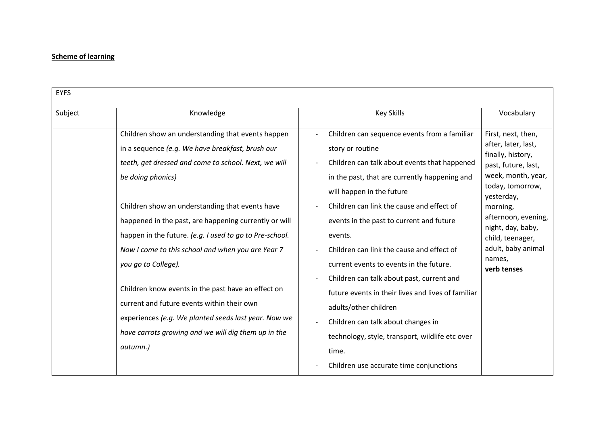## **Scheme of learning**

| <b>EYFS</b> |                                                                                                                                                                                                                                                                                                                                                                                                                                                                                                                                                                                                                                                                      |                                                                                                                                                                                                                                                                                                                                                                                                                                                                                                                                                                                                                          |                                                                                                                                                                                                                                                                          |  |
|-------------|----------------------------------------------------------------------------------------------------------------------------------------------------------------------------------------------------------------------------------------------------------------------------------------------------------------------------------------------------------------------------------------------------------------------------------------------------------------------------------------------------------------------------------------------------------------------------------------------------------------------------------------------------------------------|--------------------------------------------------------------------------------------------------------------------------------------------------------------------------------------------------------------------------------------------------------------------------------------------------------------------------------------------------------------------------------------------------------------------------------------------------------------------------------------------------------------------------------------------------------------------------------------------------------------------------|--------------------------------------------------------------------------------------------------------------------------------------------------------------------------------------------------------------------------------------------------------------------------|--|
| Subject     | Knowledge                                                                                                                                                                                                                                                                                                                                                                                                                                                                                                                                                                                                                                                            | <b>Key Skills</b>                                                                                                                                                                                                                                                                                                                                                                                                                                                                                                                                                                                                        | Vocabulary                                                                                                                                                                                                                                                               |  |
|             | Children show an understanding that events happen<br>in a sequence (e.g. We have breakfast, brush our<br>teeth, get dressed and come to school. Next, we will<br>be doing phonics)<br>Children show an understanding that events have<br>happened in the past, are happening currently or will<br>happen in the future. (e.g. I used to go to Pre-school.<br>Now I come to this school and when you are Year 7<br>you go to College).<br>Children know events in the past have an effect on<br>current and future events within their own<br>experiences (e.g. We planted seeds last year. Now we<br>have carrots growing and we will dig them up in the<br>autumn.) | Children can sequence events from a familiar<br>story or routine<br>Children can talk about events that happened<br>in the past, that are currently happening and<br>will happen in the future<br>Children can link the cause and effect of<br>events in the past to current and future<br>events.<br>Children can link the cause and effect of<br>current events to events in the future.<br>Children can talk about past, current and<br>future events in their lives and lives of familiar<br>adults/other children<br>Children can talk about changes in<br>technology, style, transport, wildlife etc over<br>time. | First, next, then,<br>after, later, last,<br>finally, history,<br>past, future, last,<br>week, month, year,<br>today, tomorrow,<br>yesterday,<br>morning,<br>afternoon, evening,<br>night, day, baby,<br>child, teenager,<br>adult, baby animal<br>names,<br>verb tenses |  |
|             |                                                                                                                                                                                                                                                                                                                                                                                                                                                                                                                                                                                                                                                                      | Children use accurate time conjunctions                                                                                                                                                                                                                                                                                                                                                                                                                                                                                                                                                                                  |                                                                                                                                                                                                                                                                          |  |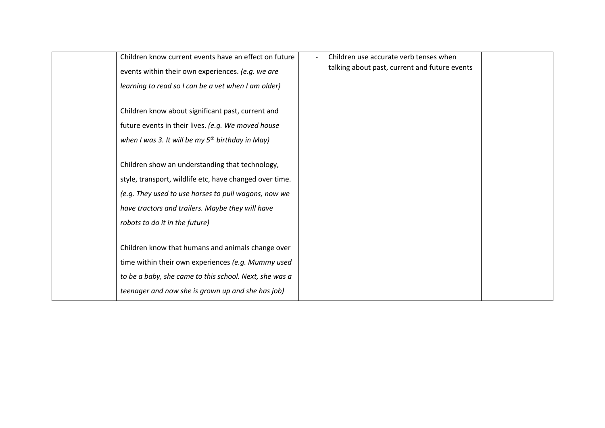| Children know current events have an effect on future   | Children use accurate verb tenses when        |  |
|---------------------------------------------------------|-----------------------------------------------|--|
| events within their own experiences. (e.g. we are       | talking about past, current and future events |  |
| learning to read so I can be a vet when I am older)     |                                               |  |
|                                                         |                                               |  |
| Children know about significant past, current and       |                                               |  |
| future events in their lives. (e.g. We moved house      |                                               |  |
| when I was 3. It will be my $5^{th}$ birthday in May)   |                                               |  |
|                                                         |                                               |  |
| Children show an understanding that technology,         |                                               |  |
| style, transport, wildlife etc, have changed over time. |                                               |  |
| (e.g. They used to use horses to pull wagons, now we    |                                               |  |
| have tractors and trailers. Maybe they will have        |                                               |  |
| robots to do it in the future)                          |                                               |  |
|                                                         |                                               |  |
| Children know that humans and animals change over       |                                               |  |
| time within their own experiences (e.g. Mummy used      |                                               |  |
| to be a baby, she came to this school. Next, she was a  |                                               |  |
| teenager and now she is grown up and she has job)       |                                               |  |
|                                                         |                                               |  |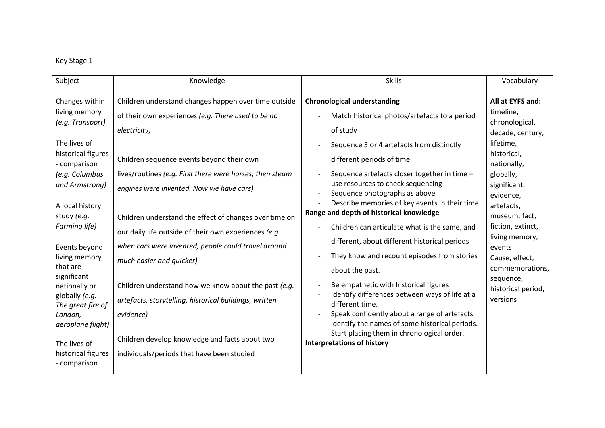| Key Stage 1                                                                                                                                                                                                                                                                                                                                                                                                 |                                                                                                                                                                                                                                                                                                                                                                                                                                                                                                                                                                                                                                                                                                                      |                                                                                                                                                                                                                                                                                                                                                                                                                                                                                                                                                                                                                                                                                                                                                                                                                                                                      |                                                                                                                                                                                                                                                                                                                              |  |
|-------------------------------------------------------------------------------------------------------------------------------------------------------------------------------------------------------------------------------------------------------------------------------------------------------------------------------------------------------------------------------------------------------------|----------------------------------------------------------------------------------------------------------------------------------------------------------------------------------------------------------------------------------------------------------------------------------------------------------------------------------------------------------------------------------------------------------------------------------------------------------------------------------------------------------------------------------------------------------------------------------------------------------------------------------------------------------------------------------------------------------------------|----------------------------------------------------------------------------------------------------------------------------------------------------------------------------------------------------------------------------------------------------------------------------------------------------------------------------------------------------------------------------------------------------------------------------------------------------------------------------------------------------------------------------------------------------------------------------------------------------------------------------------------------------------------------------------------------------------------------------------------------------------------------------------------------------------------------------------------------------------------------|------------------------------------------------------------------------------------------------------------------------------------------------------------------------------------------------------------------------------------------------------------------------------------------------------------------------------|--|
| Subject                                                                                                                                                                                                                                                                                                                                                                                                     | Knowledge                                                                                                                                                                                                                                                                                                                                                                                                                                                                                                                                                                                                                                                                                                            | <b>Skills</b>                                                                                                                                                                                                                                                                                                                                                                                                                                                                                                                                                                                                                                                                                                                                                                                                                                                        | Vocabulary                                                                                                                                                                                                                                                                                                                   |  |
| Changes within<br>living memory<br>(e.g. Transport)<br>The lives of<br>historical figures<br>- comparison<br>(e.g. Columbus<br>and Armstrong)<br>A local history<br>study (e.g.<br>Farming life)<br>Events beyond<br>living memory<br>that are<br>significant<br>nationally or<br>globally (e.g.<br>The great fire of<br>London,<br>aeroplane flight)<br>The lives of<br>historical figures<br>- comparison | Children understand changes happen over time outside<br>of their own experiences (e.g. There used to be no<br>electricity)<br>Children sequence events beyond their own<br>lives/routines (e.g. First there were horses, then steam<br>engines were invented. Now we have cars)<br>Children understand the effect of changes over time on<br>our daily life outside of their own experiences (e.g.<br>when cars were invented, people could travel around<br>much easier and quicker)<br>Children understand how we know about the past (e.g.<br>artefacts, storytelling, historical buildings, written<br>evidence)<br>Children develop knowledge and facts about two<br>individuals/periods that have been studied | <b>Chronological understanding</b><br>Match historical photos/artefacts to a period<br>of study<br>Sequence 3 or 4 artefacts from distinctly<br>different periods of time.<br>Sequence artefacts closer together in time -<br>use resources to check sequencing<br>Sequence photographs as above<br>Describe memories of key events in their time.<br>Range and depth of historical knowledge<br>Children can articulate what is the same, and<br>different, about different historical periods<br>They know and recount episodes from stories<br>about the past.<br>Be empathetic with historical figures<br>Identify differences between ways of life at a<br>different time.<br>Speak confidently about a range of artefacts<br>identify the names of some historical periods.<br>Start placing them in chronological order.<br><b>Interpretations of history</b> | All at EYFS and:<br>timeline,<br>chronological,<br>decade, century,<br>lifetime,<br>historical,<br>nationally,<br>globally,<br>significant,<br>evidence,<br>artefacts,<br>museum, fact,<br>fiction, extinct,<br>living memory,<br>events<br>Cause, effect,<br>commemorations,<br>sequence,<br>historical period,<br>versions |  |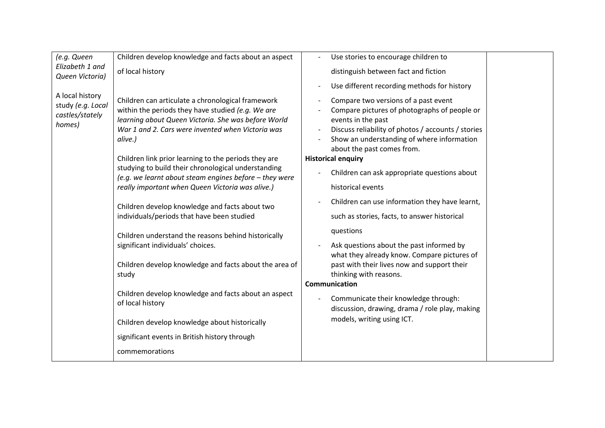| Children develop knowledge and facts about an aspect<br>(e.g. Queen<br>Use stories to encourage children to                                                                                                                                                                                                                                                                                                                                                                                                                                                                                                                                                                                                                                                                                                                                                                                                                                                                                                                                                                                                                                                                                                                                                                                                                                                                                      |  |
|--------------------------------------------------------------------------------------------------------------------------------------------------------------------------------------------------------------------------------------------------------------------------------------------------------------------------------------------------------------------------------------------------------------------------------------------------------------------------------------------------------------------------------------------------------------------------------------------------------------------------------------------------------------------------------------------------------------------------------------------------------------------------------------------------------------------------------------------------------------------------------------------------------------------------------------------------------------------------------------------------------------------------------------------------------------------------------------------------------------------------------------------------------------------------------------------------------------------------------------------------------------------------------------------------------------------------------------------------------------------------------------------------|--|
| Elizabeth 1 and<br>of local history<br>distinguish between fact and fiction<br>Queen Victoria)                                                                                                                                                                                                                                                                                                                                                                                                                                                                                                                                                                                                                                                                                                                                                                                                                                                                                                                                                                                                                                                                                                                                                                                                                                                                                                   |  |
| Use different recording methods for history                                                                                                                                                                                                                                                                                                                                                                                                                                                                                                                                                                                                                                                                                                                                                                                                                                                                                                                                                                                                                                                                                                                                                                                                                                                                                                                                                      |  |
| A local history<br>Children can articulate a chronological framework<br>Compare two versions of a past event<br>study (e.g. Local<br>within the periods they have studied (e.g. We are<br>Compare pictures of photographs of people or<br>castles/stately<br>learning about Queen Victoria. She was before World<br>events in the past<br>homes)<br>War 1 and 2. Cars were invented when Victoria was<br>Discuss reliability of photos / accounts / stories<br>Show an understanding of where information<br>alive.)<br>about the past comes from.<br>Children link prior learning to the periods they are<br><b>Historical enquiry</b><br>studying to build their chronological understanding<br>Children can ask appropriate questions about<br>(e.g. we learnt about steam engines before - they were<br>really important when Queen Victoria was alive.)<br>historical events<br>Children can use information they have learnt,<br>Children develop knowledge and facts about two<br>individuals/periods that have been studied<br>such as stories, facts, to answer historical<br>questions<br>Children understand the reasons behind historically<br>significant individuals' choices.<br>Ask questions about the past informed by<br>what they already know. Compare pictures of<br>Children develop knowledge and facts about the area of<br>past with their lives now and support their |  |
| thinking with reasons.<br>study                                                                                                                                                                                                                                                                                                                                                                                                                                                                                                                                                                                                                                                                                                                                                                                                                                                                                                                                                                                                                                                                                                                                                                                                                                                                                                                                                                  |  |
| Communication                                                                                                                                                                                                                                                                                                                                                                                                                                                                                                                                                                                                                                                                                                                                                                                                                                                                                                                                                                                                                                                                                                                                                                                                                                                                                                                                                                                    |  |
| Children develop knowledge and facts about an aspect<br>Communicate their knowledge through:<br>of local history<br>discussion, drawing, drama / role play, making                                                                                                                                                                                                                                                                                                                                                                                                                                                                                                                                                                                                                                                                                                                                                                                                                                                                                                                                                                                                                                                                                                                                                                                                                               |  |
| models, writing using ICT.<br>Children develop knowledge about historically                                                                                                                                                                                                                                                                                                                                                                                                                                                                                                                                                                                                                                                                                                                                                                                                                                                                                                                                                                                                                                                                                                                                                                                                                                                                                                                      |  |
| significant events in British history through                                                                                                                                                                                                                                                                                                                                                                                                                                                                                                                                                                                                                                                                                                                                                                                                                                                                                                                                                                                                                                                                                                                                                                                                                                                                                                                                                    |  |
|                                                                                                                                                                                                                                                                                                                                                                                                                                                                                                                                                                                                                                                                                                                                                                                                                                                                                                                                                                                                                                                                                                                                                                                                                                                                                                                                                                                                  |  |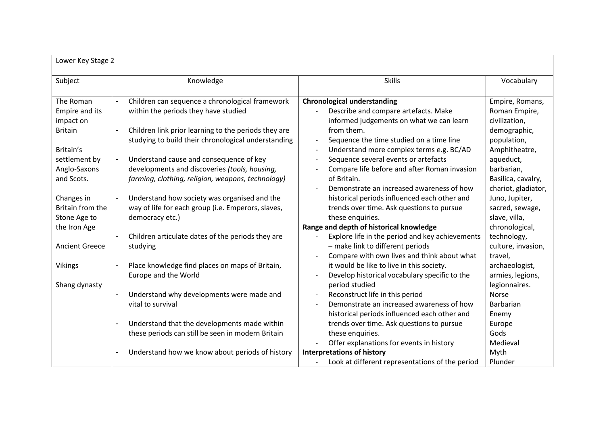| Lower Key Stage 2     |                                                                                  |                                                            |                     |
|-----------------------|----------------------------------------------------------------------------------|------------------------------------------------------------|---------------------|
| Subject               | Knowledge                                                                        | <b>Skills</b>                                              | Vocabulary          |
| The Roman             | Children can sequence a chronological framework<br>$\overline{\phantom{a}}$      | <b>Chronological understanding</b>                         | Empire, Romans,     |
| Empire and its        | within the periods they have studied                                             | Describe and compare artefacts. Make                       | Roman Empire,       |
| impact on             |                                                                                  | informed judgements on what we can learn                   | civilization,       |
| <b>Britain</b>        | Children link prior learning to the periods they are<br>$\overline{\phantom{a}}$ | from them.                                                 | demographic,        |
|                       | studying to build their chronological understanding                              | Sequence the time studied on a time line                   | population,         |
| Britain's             |                                                                                  | Understand more complex terms e.g. BC/AD<br>$\overline{a}$ | Amphitheatre,       |
| settlement by         | Understand cause and consequence of key                                          | Sequence several events or artefacts                       | aqueduct,           |
| Anglo-Saxons          | developments and discoveries (tools, housing,                                    | Compare life before and after Roman invasion               | barbarian,          |
| and Scots.            | farming, clothing, religion, weapons, technology)                                | of Britain.                                                | Basilica, cavalry,  |
|                       |                                                                                  | Demonstrate an increased awareness of how                  | chariot, gladiator, |
| Changes in            | Understand how society was organised and the                                     | historical periods influenced each other and               | Juno, Jupiter,      |
| Britain from the      | way of life for each group (i.e. Emperors, slaves,                               | trends over time. Ask questions to pursue                  | sacred, sewage,     |
| Stone Age to          | democracy etc.)                                                                  | these enquiries.                                           | slave, villa,       |
| the Iron Age          |                                                                                  | Range and depth of historical knowledge                    | chronological,      |
|                       | Children articulate dates of the periods they are                                | Explore life in the period and key achievements            | technology,         |
| <b>Ancient Greece</b> | studying                                                                         | - make link to different periods                           | culture, invasion,  |
|                       |                                                                                  | Compare with own lives and think about what                | travel,             |
| <b>Vikings</b>        | Place knowledge find places on maps of Britain,                                  | it would be like to live in this society.                  | archaeologist,      |
|                       | Europe and the World                                                             | Develop historical vocabulary specific to the              | armies, legions,    |
| Shang dynasty         |                                                                                  | period studied                                             | legionnaires.       |
|                       | Understand why developments were made and<br>$\blacksquare$                      | Reconstruct life in this period                            | Norse               |
|                       | vital to survival                                                                | Demonstrate an increased awareness of how                  | Barbarian           |
|                       |                                                                                  | historical periods influenced each other and               | Enemy               |
|                       | Understand that the developments made within<br>$\overline{\phantom{a}}$         | trends over time. Ask questions to pursue                  | Europe              |
|                       | these periods can still be seen in modern Britain                                | these enquiries.                                           | Gods                |
|                       |                                                                                  | Offer explanations for events in history                   | Medieval            |
|                       | Understand how we know about periods of history                                  | <b>Interpretations of history</b>                          | Myth                |
|                       |                                                                                  | Look at different representations of the period            | Plunder             |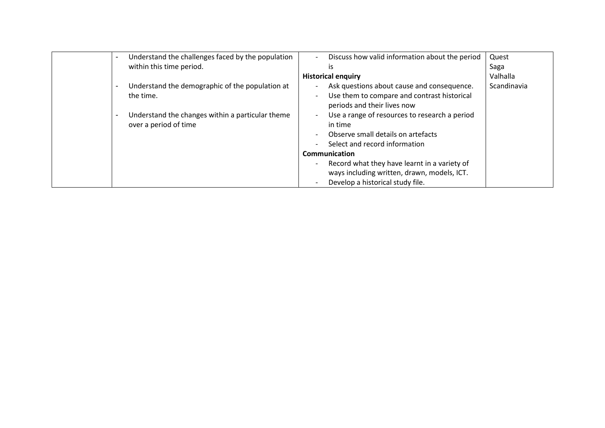| Understand the challenges faced by the population<br>$\overline{\phantom{a}}$ | Discuss how valid information about the period<br>$\overline{a}$                                | Quest       |
|-------------------------------------------------------------------------------|-------------------------------------------------------------------------------------------------|-------------|
| within this time period.                                                      | is                                                                                              | Saga        |
|                                                                               | <b>Historical enquiry</b>                                                                       | Valhalla    |
| Understand the demographic of the population at                               | Ask questions about cause and consequence.<br>$\overline{\phantom{a}}$                          | Scandinavia |
| the time.                                                                     | Use them to compare and contrast historical<br>$\qquad \qquad -$<br>periods and their lives now |             |
| Understand the changes within a particular theme<br>$\overline{\phantom{a}}$  | Use a range of resources to research a period<br>$\overline{\phantom{a}}$                       |             |
| over a period of time                                                         | in time                                                                                         |             |
|                                                                               | Observe small details on artefacts<br>$\overline{\phantom{a}}$                                  |             |
|                                                                               | Select and record information<br>$\overline{\phantom{a}}$                                       |             |
|                                                                               | Communication                                                                                   |             |
|                                                                               | Record what they have learnt in a variety of<br>$\overline{\phantom{a}}$                        |             |
|                                                                               | ways including written, drawn, models, ICT.                                                     |             |
|                                                                               | Develop a historical study file.<br>$\overline{\phantom{a}}$                                    |             |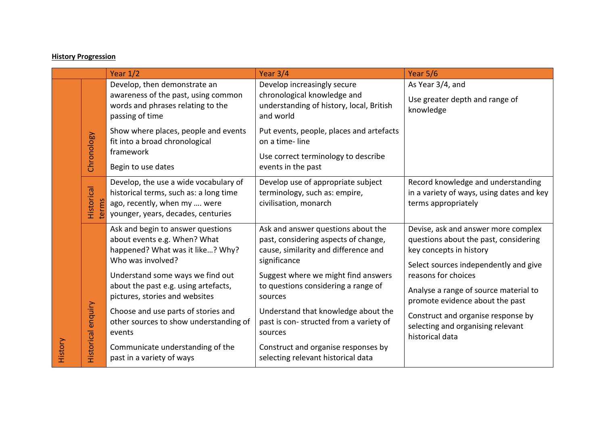## **History Progression**

|         |                     | Year $1/2$                                                                                                                                                                                                                               | Year $3/4$                                                                                                                                                                                                                  | Year 5/6                                                                                                                                                                                                                                            |
|---------|---------------------|------------------------------------------------------------------------------------------------------------------------------------------------------------------------------------------------------------------------------------------|-----------------------------------------------------------------------------------------------------------------------------------------------------------------------------------------------------------------------------|-----------------------------------------------------------------------------------------------------------------------------------------------------------------------------------------------------------------------------------------------------|
|         |                     | Develop, then demonstrate an<br>awareness of the past, using common<br>words and phrases relating to the<br>passing of time                                                                                                              | Develop increasingly secure<br>chronological knowledge and<br>understanding of history, local, British<br>and world                                                                                                         | As Year 3/4, and<br>Use greater depth and range of<br>knowledge                                                                                                                                                                                     |
| History | Chronology          | Show where places, people and events<br>fit into a broad chronological<br>framework<br>Begin to use dates                                                                                                                                | Put events, people, places and artefacts<br>on a time-line<br>Use correct terminology to describe<br>events in the past                                                                                                     |                                                                                                                                                                                                                                                     |
|         | Historical<br>terms | Develop, the use a wide vocabulary of<br>historical terms, such as: a long time<br>ago, recently, when my  were<br>younger, years, decades, centuries                                                                                    | Develop use of appropriate subject<br>terminology, such as: empire,<br>civilisation, monarch                                                                                                                                | Record knowledge and understanding<br>in a variety of ways, using dates and key<br>terms appropriately                                                                                                                                              |
|         |                     | Ask and begin to answer questions<br>about events e.g. When? What<br>happened? What was it like? Why?<br>Who was involved?<br>Understand some ways we find out<br>about the past e.g. using artefacts,<br>pictures, stories and websites | Ask and answer questions about the<br>past, considering aspects of change,<br>cause, similarity and difference and<br>significance<br>Suggest where we might find answers<br>to questions considering a range of<br>sources | Devise, ask and answer more complex<br>questions about the past, considering<br>key concepts in history<br>Select sources independently and give<br>reasons for choices<br>Analyse a range of source material to<br>promote evidence about the past |
|         | Historical enquiry  | Choose and use parts of stories and<br>other sources to show understanding of<br>events<br>Communicate understanding of the<br>past in a variety of ways                                                                                 | Understand that knowledge about the<br>past is con-structed from a variety of<br>sources<br>Construct and organise responses by<br>selecting relevant historical data                                                       | Construct and organise response by<br>selecting and organising relevant<br>historical data                                                                                                                                                          |